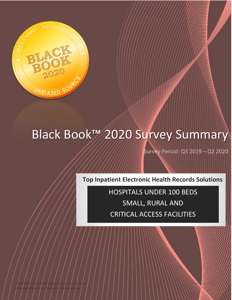

# Black Book™ 2020 Survey Summary

Top Electronic Medical Records/Electronic Health Records Vendors Published April 2020 Published April 2020 Published April 2020 Published April 2020 Published April 2020 Published April 2020 Published April 2020 Published © Black Book Research LLC. This report is a licensed product. 1

Survey Period: Q3 2019 - Q2 2020

**Top Inpatient Electronic Health Records Solutions**

HOSPITALS UNDER 100 BEDS SMALL, RURAL AND CRITICAL ACCESS FACILITIES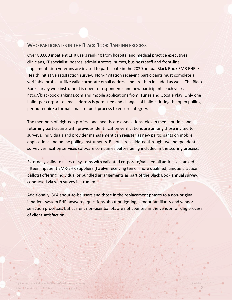### WHO PARTICIPATES IN THE BLACK BOOK RANKING PROCESS

Over 80,000 inpatient EHR users ranking from hospital and medical practice executives, clinicians, IT specialist, boards, administrators, nurses, business staff and front-line implementation veterans are invited to participate in the 2020 annual Black Book EMR EHR e-Health initiative satisfaction survey. Non-invitation receiving participants must complete a verifiable profile, utilize valid corporate email address and are then included as well. The Black Book survey web instrument is open to respondents and new participants each year at http://blackbookrankings.com and mobile applications from iTunes and Google Play. Only one ballot per corporate email address is permitted and changes of ballots during the open polling period require a formal email request process to ensure integrity.

The members of eighteen professional healthcare associations, eleven media outlets and returning participants with previous identification verifications are among those invited to surveys. Individuals and provider management can register as new participants on mobile applications and online polling instruments. Ballots are validated through two independent survey verification services software companies before being included in the scoring process.

Externally validate users of systems with validated corporate/valid email addresses ranked fifteen inpatient EMR-EHR suppliers (twelve receiving ten or more qualified, unique practice ballots) offering individual or bundled arrangements as part of the Black Book annual survey, conducted via web survey instruments.

Additionally, 304 about-to-be users and those in the replacement phases to a non-original inpatient system EHR answered questions about budgeting, vendor familiarity and vendor selection processes but current non-user ballots are not counted in the vendor ranking process of client satisfaction.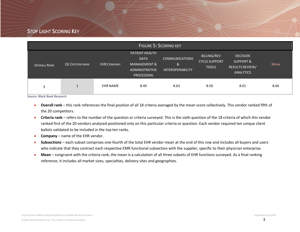## STOP LIGHT SCORING KEY

| <b>FIGURE 5: SCORING KEY</b> |                  |                    |                                                                                                    |                                                       |                                                            |                                                                                       |             |  |  |  |  |
|------------------------------|------------------|--------------------|----------------------------------------------------------------------------------------------------|-------------------------------------------------------|------------------------------------------------------------|---------------------------------------------------------------------------------------|-------------|--|--|--|--|
| <b>OVERALL RANK</b>          | Q1 CRITERIA RANK | <b>EHR COMPANY</b> | <b>PATIENT HEALTH</b><br><b>DATA</b><br>MANAGEMENT &<br><b>ADMINISTRATIVE</b><br><b>PROCESSING</b> | <b>COMMUNICATIONS</b><br>&<br><b>INTEROPERABILITY</b> | <b>BILLING/REV</b><br><b>CYCLE SUPPORT</b><br><b>TOOLS</b> | <b>DECISION</b><br><b>SUPPORT &amp;</b><br><b>RESULTS REVIEW/</b><br><b>ANALYTICS</b> | <b>MEAN</b> |  |  |  |  |
| 5                            |                  | <b>EHR NAME</b>    | 8.49                                                                                               | 8.63                                                  | 8.50                                                       | 8.01                                                                                  | 8.66        |  |  |  |  |

*Source: Black Book Research*

- **Overall rank** this rank references the final position of all 18 criteria averaged by the mean score collectively. This vendor ranked fifth of the 20 competitors.
- **Criteria rank** refers to the number of the question or criteria surveyed. This is the sixth question of the 18 criteria of which this vendor ranked first of the 20 vendors analyzed positioned only on this particular criteria or question. Each vendor required ten unique client ballots validated to be included in the top ten ranks.
- **Company** name of the EHR vendor.
- **Subsections** each subset comprises one-fourth of the total EHR vendor mean at the end of this row and includes all buyers and users who indicate that they contract each respective EMR functional subsection with the supplier, specific to their physician enterprise.
- **Mean** congruent with the criteria rank, the mean is a calculation of all three subsets of EHR functions surveyed. As a final ranking reference, it includes all market sizes, specialties, delivery sites and geographies.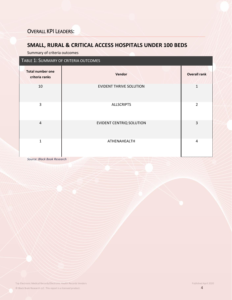# **SMALL, RURAL & CRITICAL ACCESS HOSPITALS UNDER 100 BEDS**

Summary of criteria outcomes

### TABLE 1: SUMMARY OF CRITERIA OUTCOMES

| <b>Total number one</b><br>criteria ranks | Vendor                          | <b>Overall rank</b> |
|-------------------------------------------|---------------------------------|---------------------|
| 10                                        | <b>EVIDENT THRIVE SOLUTION</b>  | $\mathbf{1}$        |
| 3                                         | <b>ALLSCRIPTS</b>               | 2                   |
| 4                                         | <b>EVIDENT CENTRIQ SOLUTION</b> | $\mathbf{3}$        |
| $\mathbf{1}$                              | ATHENAHEALTH                    | $\overline{4}$      |

*Source: Black Book Research*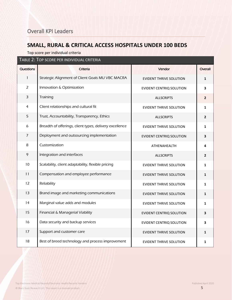# **SMALL, RURAL & CRITICAL ACCESS HOSPITALS UNDER 100 BEDS**

Top score per individual criteria

| TABLE 2: TOP SCORE PER INDIVIDUAL CRITERIA |                                                         |                                 |                |  |  |  |  |  |  |  |
|--------------------------------------------|---------------------------------------------------------|---------------------------------|----------------|--|--|--|--|--|--|--|
| Questions                                  | Criteria                                                | Vendor                          | Overall        |  |  |  |  |  |  |  |
| $\mathbf{1}$                               | Strategic Alignment of Client Goals MU VBC MACRA        | <b>EVIDENT THRIVE SOLUTION</b>  | $\mathbf{1}$   |  |  |  |  |  |  |  |
| $\overline{2}$                             | Innovation & Optimization                               | <b>EVIDENT CENTRIQ SOLUTION</b> | 3              |  |  |  |  |  |  |  |
| 3                                          | Training                                                | <b>ALLSCRIPTS</b>               | $\overline{2}$ |  |  |  |  |  |  |  |
| $\overline{4}$                             | Client relationships and cultural fit                   | <b>EVIDENT THRIVE SOLUTION</b>  | $\mathbf{1}$   |  |  |  |  |  |  |  |
| 5                                          | Trust, Accountability, Transparency, Ethics             | <b>ALLSCRIPTS</b>               | $\overline{2}$ |  |  |  |  |  |  |  |
| 6                                          | Breadth of offerings, client types, delivery excellence | <b>EVIDENT THRIVE SOLUTION</b>  | $\mathbf{1}$   |  |  |  |  |  |  |  |
| $\overline{7}$                             | Deployment and outsourcing implementation               | EVIDENT CENTRIQ SOLUTION        | 3              |  |  |  |  |  |  |  |
| 8                                          | Customization                                           | ATHENAHEALTH                    | 4              |  |  |  |  |  |  |  |
| 9                                          | Integration and interfaces                              | <b>ALLSCRIPTS</b>               | $\mathbf{2}$   |  |  |  |  |  |  |  |
| 10                                         | Scalability, client adaptability, flexible pricing      | <b>EVIDENT THRIVE SOLUTION</b>  | $\mathbf{1}$   |  |  |  |  |  |  |  |
| 11                                         | Compensation and employee performance                   | <b>EVIDENT THRIVE SOLUTION</b>  | $\mathbf{1}$   |  |  |  |  |  |  |  |
| 12                                         | Reliability                                             | <b>EVIDENT THRIVE SOLUTION</b>  | $\mathbf{1}$   |  |  |  |  |  |  |  |
| 13                                         | Brand image and marketing communications                | <b>EVIDENT THRIVE SOLUTION</b>  | $\mathbf{1}$   |  |  |  |  |  |  |  |
| 14                                         | Marginal value adds and modules                         | <b>EVIDENT THRIVE SOLUTION</b>  | $\mathbf{1}$   |  |  |  |  |  |  |  |
| 15                                         | Financial & Managerial Viability                        | EVIDENT CENTRIQ SOLUTION        | 3              |  |  |  |  |  |  |  |
| 16                                         | Data security and backup services                       | EVIDENT CENTRIQ SOLUTION        | 3              |  |  |  |  |  |  |  |
| 17                                         | Support and customer care                               | EVIDENT THRIVE SOLUTION         | $\mathbf{1}$   |  |  |  |  |  |  |  |
| 18                                         | Best of breed technology and process improvement        | <b>EVIDENT THRIVE SOLUTION</b>  | $\mathbf{1}$   |  |  |  |  |  |  |  |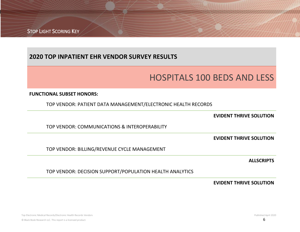STOP LIGHT SCORING KEY

# **2020 TOP INPATIENT EHR VENDOR SURVEY RESULTS**

# HOSPITALS 100 BEDS AND LESS

### **FUNCTIONAL SUBSET HONORS:**

TOP VENDOR: PATIENT DATA MANAGEMENT/ELECTRONIC HEALTH RECORDS

**EVIDENT THRIVE SOLUTION**

TOP VENDOR: COMMUNICATIONS & INTEROPERABILITY

**EVIDENT THRIVE SOLUTION**

TOP VENDOR: BILLING/REVENUE CYCLE MANAGEMENT

**ALLSCRIPTS**

TOP VENDOR: DECISION SUPPORT/POPULATION HEALTH ANALYTICS

**EVIDENT THRIVE SOLUTION**

Top Electronic Medical Records/Electronic Health Records Vendors Published April 2020 © Black Book Research LLC. This report is a licensed product.  $\overline{6}$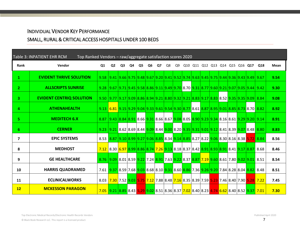### INDIVIDUAL VENDOR KEY PERFORMANCE

# SMALL, RURAL & CRITICAL ACCESS HOSPITALS UNDER 100 BEDS

| <b>Table 3: INPATIENT EHR RCM</b> | Top Ranked Vendors - raw/aggregate satisfaction scores 2020 |      |                                                                                                                       |    |    |    |    |    |    |    |  |  |                                 |  |  |                                                                                      |      |
|-----------------------------------|-------------------------------------------------------------|------|-----------------------------------------------------------------------------------------------------------------------|----|----|----|----|----|----|----|--|--|---------------------------------|--|--|--------------------------------------------------------------------------------------|------|
| Rank                              | Vendor                                                      |      | Q <sub>2</sub>                                                                                                        | Q3 | Q4 | Q5 | Q6 | Q7 | Q8 | Q9 |  |  | Q10 Q11 Q12 Q13 Q14 Q15 Q16 Q17 |  |  | Q18                                                                                  | Mean |
| $\mathbf{1}$                      | <b>EVIDENT THRIVE SOLUTION</b>                              |      | 9.67 9.41 9.66 9.75 9.78 9.20 9.41 9.52 9.74 9.63 9.45 9.75 9.44 9.36 9.43 9.49 9.67                                  |    |    |    |    |    |    |    |  |  |                                 |  |  |                                                                                      | 9.54 |
| $\mathbf{2}$                      | <b>ALLSCRIPTS SUNRISE</b>                                   |      | 9.28 $ 9.67 9.71 9.45 9.58 8.86 9.11 9.49 9.70 8.70 9.31 8.77 9.60 9.21 9.07 9.05 9.44 9.42$                          |    |    |    |    |    |    |    |  |  |                                 |  |  |                                                                                      | 9.30 |
| 3.                                | <b>EVIDENT CENTRIQ SOLUTION</b>                             |      | 9.50 9.77 9.17 9.09 8.86 8.94 9.21 8.80 9.32 9.21 8.83 9.17 8.83 8.52 9.35 9.35 9.09 8.84                             |    |    |    |    |    |    |    |  |  |                                 |  |  |                                                                                      | 9.08 |
| 4                                 | <b>ATHENAHEALTH</b>                                         |      | 9.13 6.81 9.15 9.29 9.04 9.33 9.61 9.54 9.30 8.77 8.61 8.87 8.95 9.01 8.85 8.73 8.70 8.82                             |    |    |    |    |    |    |    |  |  |                                 |  |  |                                                                                      | 8.92 |
| 5.                                | <b>MEDITECH 6.X</b>                                         |      | 8.87 9.43 8.84 8.91 8.66 9.31 8.66 8.67 9.08 8.05 8.90 9.23 9.34 8.16 8.61 9.29 9.20 9.14                             |    |    |    |    |    |    |    |  |  |                                 |  |  |                                                                                      | 8.91 |
| 6                                 | <b>CERNER</b>                                               |      | 9.23 $ 9.21 8.62 8.69 8.44 9.09 8.44 9.00 8.20 9.35 9.31 9.01 9.12 8.41 8.39 9.07 8.48 8.80$                          |    |    |    |    |    |    |    |  |  |                                 |  |  |                                                                                      | 8.83 |
| 7                                 | <b>EPIC SYSTEMS</b>                                         | 8.53 | 8.87 9.10 8.99 9.27 9.06 8.85 8.34 9.14 8.85 8.27 8.22 9.06 8.30 8.16 8.38 5.72 8.84                                  |    |    |    |    |    |    |    |  |  |                                 |  |  |                                                                                      | 8.56 |
| 8                                 | <b>MEDHOST</b>                                              | 7.12 | 8.30 6.97 8.99 8.86 8.74 7.26 9.13 8.18 8.37 8.42 8.91 8.93 8.91 8.41 9.17 8.87 8.68                                  |    |    |    |    |    |    |    |  |  |                                 |  |  |                                                                                      | 8.46 |
| 9                                 | <b>GE HEALTHCARE</b>                                        |      | 8.51 8.09 8.01 8.59 9.22 7.24 8.91 7.63 9.22 8.37 8.87 7.19 9.60 8.61 7.80 9.02 9.01 8.51                             |    |    |    |    |    |    |    |  |  |                                 |  |  |                                                                                      | 8.54 |
| 10                                | <b>HARRIS QUADRAMED</b>                                     |      | 7.61 <b>9.37</b> 8.59 7.68 <b>9.03</b> 8.68 8.10 <b>9.31</b> 8.60 8.86 7.36 <b>9.26 9.20 7.84 8.28 8.04 8.82</b> 8.48 |    |    |    |    |    |    |    |  |  |                                 |  |  |                                                                                      | 8.51 |
| 11                                | <b>ECLINICALWORKS</b>                                       | 8.03 |                                                                                                                       |    |    |    |    |    |    |    |  |  |                                 |  |  | 7.30 7.52 9.03 5.75 7.12 7.88 8.48 7.16 8.35 8.39 7.59 5.23 7.46 8.40 7.90 5.28 7.22 | 7.45 |
| 12                                | <b>MCKESSON PARAGON</b>                                     |      | 7.05 2.31 2.32 3.43 3.44 3.52 3.44 3.52 3.44 3.52 3.44 3.52 3.45 3.52 3.45 3.52 3.45 3.52 3.45 3.52 3.52 3.52         |    |    |    |    |    |    |    |  |  |                                 |  |  |                                                                                      | 7.30 |